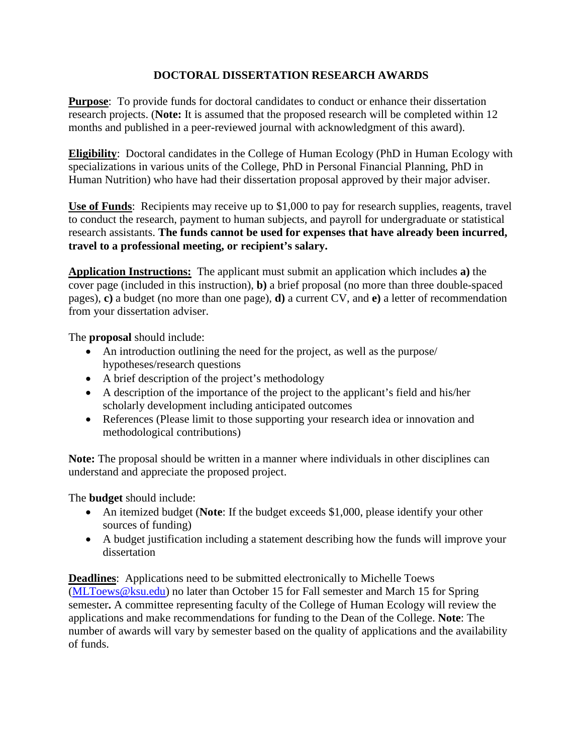## **DOCTORAL DISSERTATION RESEARCH AWARDS**

**Purpose**: To provide funds for doctoral candidates to conduct or enhance their dissertation research projects. (**Note:** It is assumed that the proposed research will be completed within 12 months and published in a peer-reviewed journal with acknowledgment of this award).

**Eligibility**: Doctoral candidates in the College of Human Ecology (PhD in Human Ecology with specializations in various units of the College, PhD in Personal Financial Planning, PhD in Human Nutrition) who have had their dissertation proposal approved by their major adviser.

Use of Funds: Recipients may receive up to \$1,000 to pay for research supplies, reagents, travel to conduct the research, payment to human subjects, and payroll for undergraduate or statistical research assistants. **The funds cannot be used for expenses that have already been incurred, travel to a professional meeting, or recipient's salary.** 

**Application Instructions:** The applicant must submit an application which includes **a)** the cover page (included in this instruction), **b)** a brief proposal (no more than three double-spaced pages), **c)** a budget (no more than one page), **d)** a current CV, and **e)** a letter of recommendation from your dissertation adviser.

The **proposal** should include:

- An introduction outlining the need for the project, as well as the purpose/ hypotheses/research questions
- A brief description of the project's methodology
- A description of the importance of the project to the applicant's field and his/her scholarly development including anticipated outcomes
- References (Please limit to those supporting your research idea or innovation and methodological contributions)

**Note:** The proposal should be written in a manner where individuals in other disciplines can understand and appreciate the proposed project.

The **budget** should include:

- An itemized budget (**Note**: If the budget exceeds \$1,000, please identify your other sources of funding)
- A budget justification including a statement describing how the funds will improve your dissertation

**Deadlines**: Applications need to be submitted electronically to Michelle Toews [\(MLToews@ksu.edu\)](mailto:MLToews@ksu.edu) no later than October 15 for Fall semester and March 15 for Spring semester**.** A committee representing faculty of the College of Human Ecology will review the applications and make recommendations for funding to the Dean of the College. **Note**: The number of awards will vary by semester based on the quality of applications and the availability of funds.